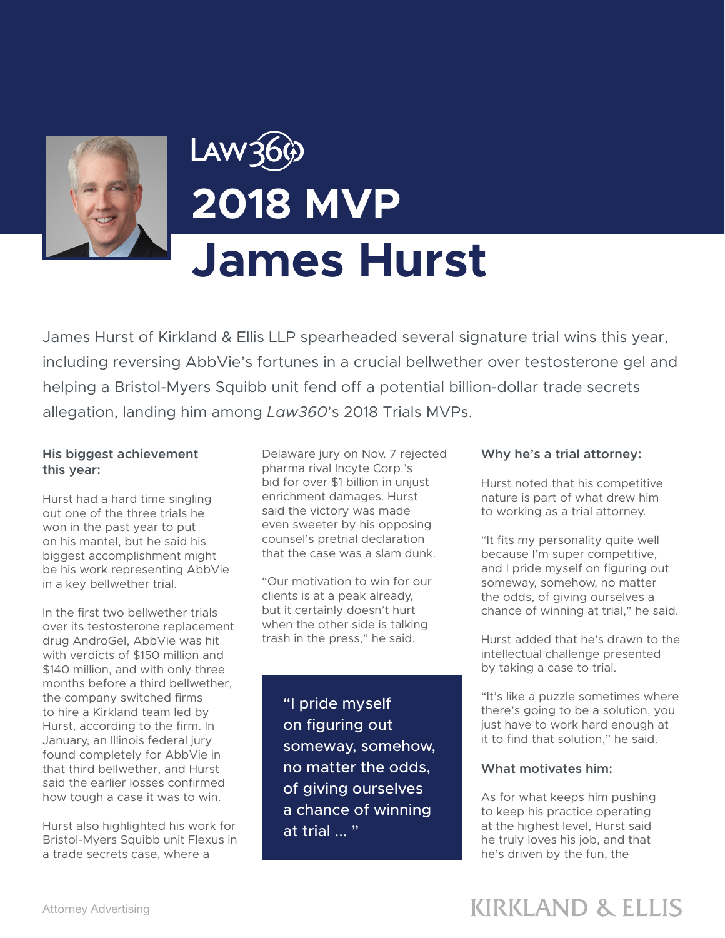

# **2018 MVP James Hurst**

James Hurst of Kirkland & Ellis LLP spearheaded several signature trial wins this year, including reversing AbbVie's fortunes in a crucial bellwether over testosterone gel and helping a Bristol-Myers Squibb unit fend off a potential billion-dollar trade secrets allegation, landing him among *Law360*'s 2018 Trials MVPs.

## **His biggest achievement this year:**

Hurst had a hard time singling out one of the three trials he won in the past year to put on his mantel, but he said his biggest accomplishment might be his work representing AbbVie in a key bellwether trial.

In the first two bellwether trials over its testosterone replacement drug AndroGel, AbbVie was hit with verdicts of \$150 million and \$140 million, and with only three months before a third bellwether, the company switched firms to hire a Kirkland team led by Hurst, according to the firm. In January, an Illinois federal jury found completely for AbbVie in that third bellwether, and Hurst said the earlier losses confirmed how tough a case it was to win.

Hurst also highlighted his work for Bristol-Myers Squibb unit Flexus in a trade secrets case, where a

Delaware jury on Nov. 7 rejected pharma rival Incyte Corp.'s bid for over \$1 billion in unjust enrichment damages. Hurst said the victory was made even sweeter by his opposing counsel's pretrial declaration that the case was a slam dunk.

"Our motivation to win for our clients is at a peak already, but it certainly doesn't hurt when the other side is talking trash in the press," he said.

> "I pride myself on figuring out someway, somehow, no matter the odds, of giving ourselves a chance of winning at trial ... "

### **Why he's a trial attorney:**

Hurst noted that his competitive nature is part of what drew him to working as a trial attorney.

"It fits my personality quite well because I'm super competitive, and I pride myself on figuring out someway, somehow, no matter the odds, of giving ourselves a chance of winning at trial," he said.

Hurst added that he's drawn to the intellectual challenge presented by taking a case to trial.

"It's like a puzzle sometimes where there's going to be a solution, you just have to work hard enough at it to find that solution," he said.

## **What motivates him:**

As for what keeps him pushing to keep his practice operating at the highest level, Hurst said he truly loves his job, and that he's driven by the fun, the

# **KIRKLAND & ELLIS**